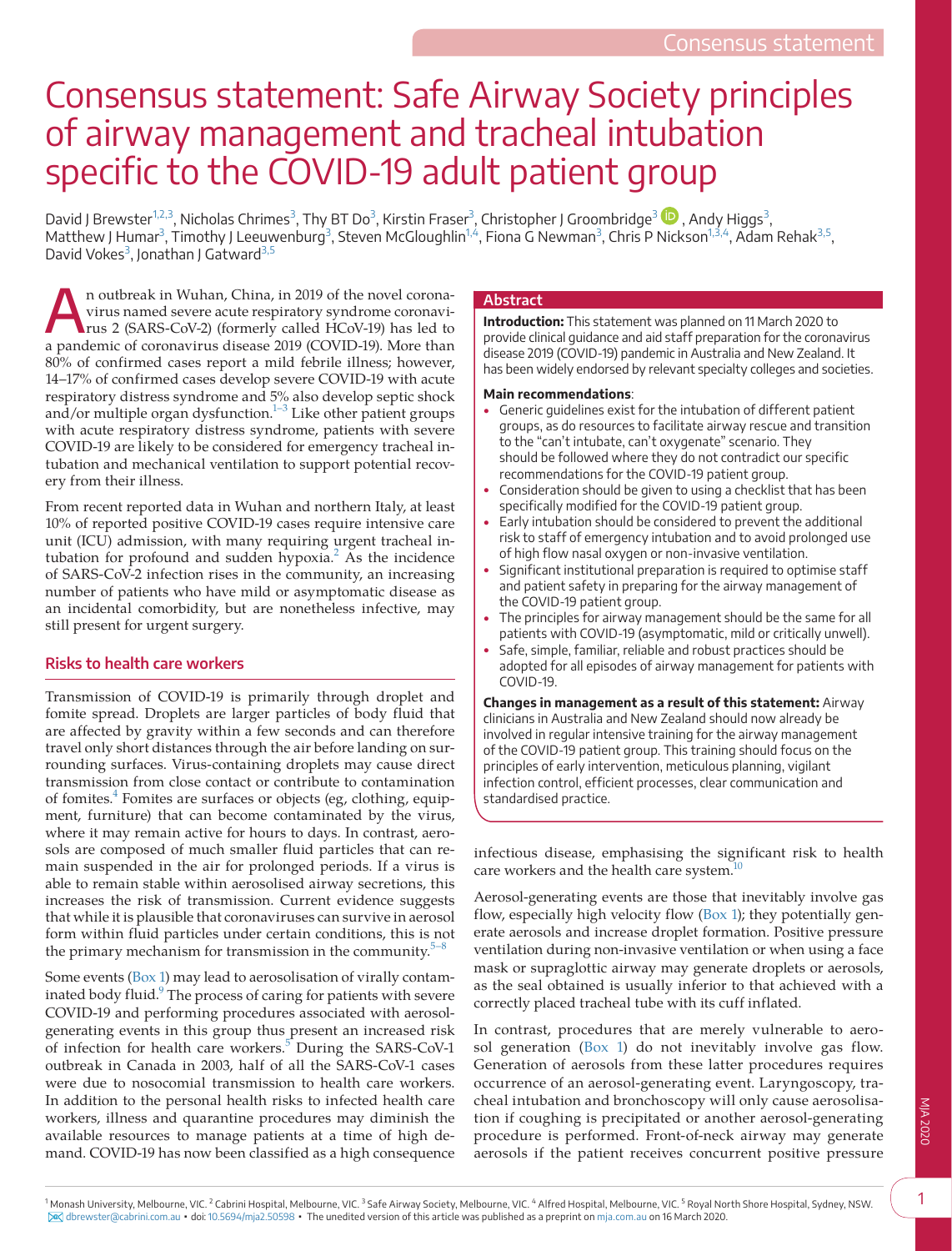# Consensus statement: Safe Airway Society principles of airway management and tracheal intubation specific to the COVID-19 adult patient group

David J Brewster<sup>[1,2,3](#page-0-0)</sup>, Nicholas Chrimes<sup>[3](#page-0-1)</sup>[,](https://orcid.org/0000-0002-2336-1525) Thy BT Do<sup>3</sup>, Kirstin Fraser<sup>3</sup>, Christopher J Groombridge<sup>3</sup> ��, Andy Higgs<sup>3</sup>, Matthew J Humar<sup>[3](#page-0-1)</sup>, Timothy J Leeuwenburg<sup>3</sup>, Steven McGloughlin<sup>1,4</sup>, Fiona G Newman<sup>3</sup>, Chris P Nickson<sup>[1,3,4](#page-0-0)</sup>, Adam Rehak<sup>[3,5](#page-0-1)</sup>, David Vokes<sup>[3](#page-0-1)</sup>, Jonathan J Gatward<sup>[3,5](#page-0-1)</sup>

An outbreak in Wuhan, China, in 2019 of the novel corona-<br>virus named severe acute respiratory syndrome coronavi-<br>rus 2 (SARS-CoV-2) (formerly called HCoV-19) has led to virus named severe acute respiratory syndrome coronavia pandemic of coronavirus disease 2019 (COVID-19). More than 80% of confirmed cases report a mild febrile illness; however, 14–17% of confirmed cases develop severe COVID-19 with acute respiratory distress syndrome and 5% also develop septic shock and/or multiple organ dysfunction.<sup>[1–3](#page-8-0)</sup> Like other patient groups with acute respiratory distress syndrome, patients with severe COVID-19 are likely to be considered for emergency tracheal intubation and mechanical ventilation to support potential recovery from their illness.

From recent reported data in Wuhan and northern Italy, at least 10% of reported positive COVID-19 cases require intensive care unit (ICU) admission, with many requiring urgent tracheal in-tubation for profound and sudden hypoxia.<sup>[2](#page-8-1)</sup> As the incidence of SARS-CoV-2 infection rises in the community, an increasing number of patients who have mild or asymptomatic disease as an incidental comorbidity, but are nonetheless infective, may still present for urgent surgery.

# **Risks to health care workers**

Transmission of COVID-19 is primarily through droplet and fomite spread. Droplets are larger particles of body fluid that are affected by gravity within a few seconds and can therefore travel only short distances through the air before landing on surrounding surfaces. Virus-containing droplets may cause direct transmission from close contact or contribute to contamination of fomites.<sup>[4](#page-8-2)</sup> Fomites are surfaces or objects (eg, clothing, equipment, furniture) that can become contaminated by the virus, where it may remain active for hours to days. In contrast, aerosols are composed of much smaller fluid particles that can remain suspended in the air for prolonged periods. If a virus is able to remain stable within aerosolised airway secretions, this increases the risk of transmission. Current evidence suggests that while it is plausible that coronaviruses can survive in aerosol form within fluid particles under certain conditions, this is not the primary mechanism for transmission in the community. $5$ 

<span id="page-0-0"></span>Some events ([Box 1](#page-1-0)) may lead to aerosolisation of virally contaminated body fluid.<sup>9</sup> The process of caring for patients with severe COVID-19 and performing procedures associated with aerosolgenerating events in this group thus present an increased risk of infection for health care workers.<sup>[5](#page-8-3)</sup> During the SARS-CoV-1 outbreak in Canada in 2003, half of all the SARS-CoV-1 cases were due to nosocomial transmission to health care workers. In addition to the personal health risks to infected health care workers, illness and quarantine procedures may diminish the available resources to manage patients at a time of high demand. COVID-19 has now been classified as a high consequence

# **Abstract**

**Introduction:** This statement was planned on 11 March 2020 to provide clinical guidance and aid staff preparation for the coronavirus disease 2019 (COVID-19) pandemic in Australia and New Zealand. It has been widely endorsed by relevant specialty colleges and societies.

#### **Main recommendations**:

- Generic guidelines exist for the intubation of different patient groups, as do resources to facilitate airway rescue and transition to the "can't intubate, can't oxygenate" scenario. They should be followed where they do not contradict our specific recommendations for the COVID-19 patient group.
- Consideration should be given to using a checklist that has been specifically modified for the COVID-19 patient group.
- Early intubation should be considered to prevent the additional risk to staff of emergency intubation and to avoid prolonged use of high flow nasal oxygen or non-invasive ventilation.
- Significant institutional preparation is required to optimise staff and patient safety in preparing for the airway management of the COVID-19 patient group.
- The principles for airway management should be the same for all patients with COVID-19 (asymptomatic, mild or critically unwell).
- Safe, simple, familiar, reliable and robust practices should be adopted for all episodes of airway management for patients with COVID-19.

**Changes in management as a result of this statement:** Airway clinicians in Australia and New Zealand should now already be involved in regular intensive training for the airway management of the COVID-19 patient group. This training should focus on the principles of early intervention, meticulous planning, vigilant infection control, efficient processes, clear communication and standardised practice.

infectious disease, emphasising the significant risk to health care workers and the health care system.<sup>11</sup>

Aerosol-generating events are those that inevitably involve gas flow, especially high velocity flow ([Box 1](#page-1-0)); they potentially generate aerosols and increase droplet formation. Positive pressure ventilation during non-invasive ventilation or when using a face mask or supraglottic airway may generate droplets or aerosols, as the seal obtained is usually inferior to that achieved with a correctly placed tracheal tube with its cuff inflated.

<span id="page-0-1"></span>In contrast, procedures that are merely vulnerable to aerosol generation [\(Box 1\)](#page-1-0) do not inevitably involve gas flow. Generation of aerosols from these latter procedures requires occurrence of an aerosol-generating event. Laryngoscopy, tracheal intubation and bronchoscopy will only cause aerosolisation if coughing is precipitated or another aerosol-generating procedure is performed. Front-of-neck airway may generate aerosols if the patient receives concurrent positive pressure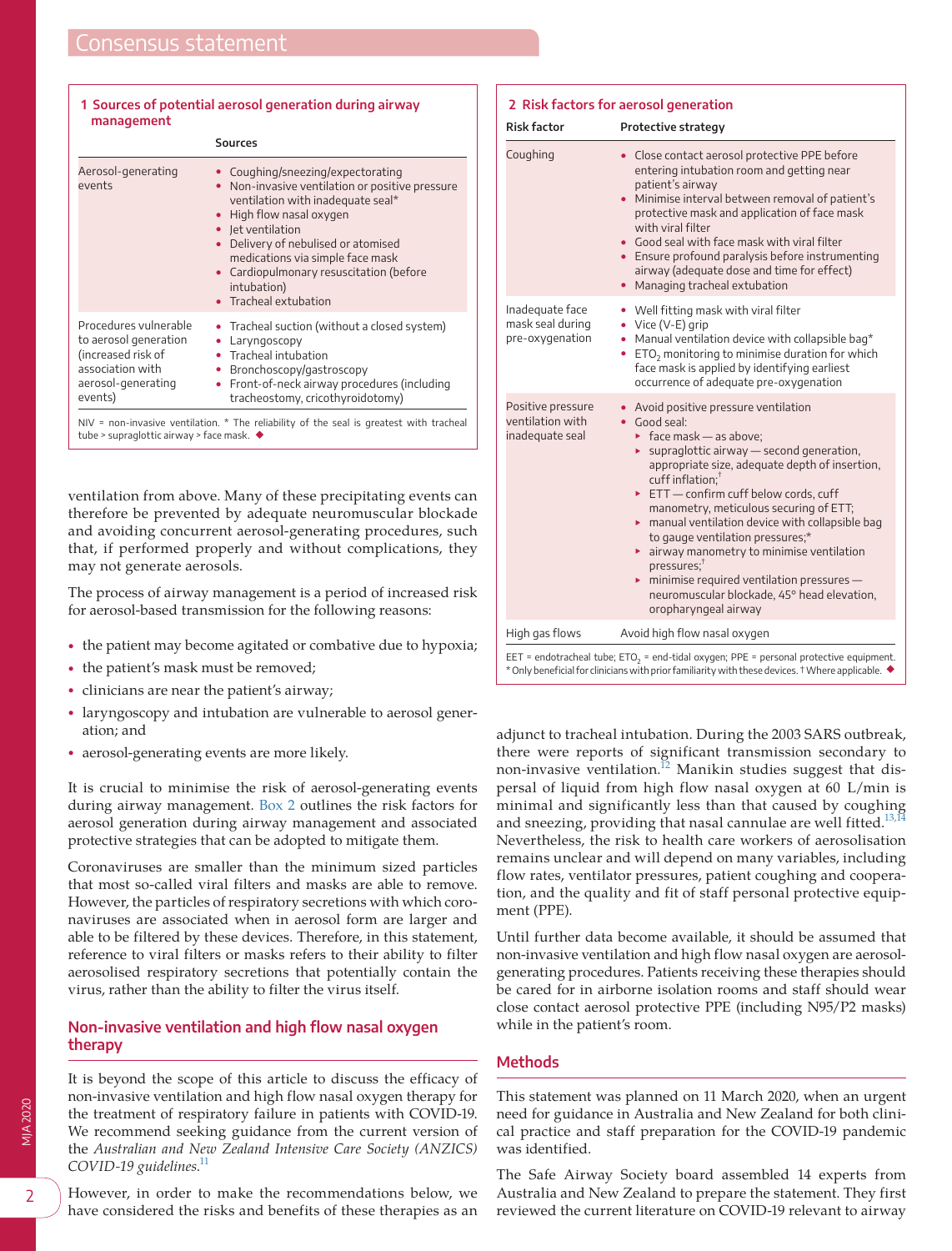| 1 Sources of potential aerosol generation during airway<br>management                                                     |                                                                                                                                                                                                                                                                                                                                         |
|---------------------------------------------------------------------------------------------------------------------------|-----------------------------------------------------------------------------------------------------------------------------------------------------------------------------------------------------------------------------------------------------------------------------------------------------------------------------------------|
|                                                                                                                           | <b>Sources</b>                                                                                                                                                                                                                                                                                                                          |
| Aerosol-generating<br>events                                                                                              | • Coughing/sneezing/expectorating<br>Non-invasive ventilation or positive pressure<br>٠<br>ventilation with inadequate seal*<br>High flow nasal oxygen<br>• Jet ventilation<br>Delivery of nebulised or atomised<br>medications via simple face mask<br>• Cardiopulmonary resuscitation (before<br>intubation)<br>• Tracheal extubation |
| Procedures vulnerable<br>to aerosol generation<br>(increased risk of<br>association with<br>aerosol-generating<br>events) | • Tracheal suction (without a closed system)<br>Laryngoscopy<br>• Tracheal intubation<br>Bronchoscopy/gastroscopy<br>٠<br>Front-of-neck airway procedures (including<br>۰<br>tracheostomy, cricothyroidotomy)                                                                                                                           |

# <span id="page-1-0"></span> **1 Sources of potential aerosol generation during airway**

NIV = non-invasive ventilation. \* The reliability of the seal is greatest with tracheal tube > supraglottic airway > face mask. ◆

ventilation from above. Many of these precipitating events can therefore be prevented by adequate neuromuscular blockade and avoiding concurrent aerosol-generating procedures, such that, if performed properly and without complications, they may not generate aerosols.

The process of airway management is a period of increased risk for aerosol-based transmission for the following reasons:

- the patient may become agitated or combative due to hypoxia;
- the patient's mask must be removed;

- clinicians are near the patient's airway;
- laryngoscopy and intubation are vulnerable to aerosol generation; and
- aerosol-generating events are more likely.

It is crucial to minimise the risk of aerosol-generating events during airway management. [Box 2](#page-1-1) outlines the risk factors for aerosol generation during airway management and associated protective strategies that can be adopted to mitigate them.

Coronaviruses are smaller than the minimum sized particles that most so-called viral filters and masks are able to remove. However, the particles of respiratory secretions with which coronaviruses are associated when in aerosol form are larger and able to be filtered by these devices. Therefore, in this statement, reference to viral filters or masks refers to their ability to filter aerosolised respiratory secretions that potentially contain the virus, rather than the ability to filter the virus itself.

# **Non-invasive ventilation and high flow nasal oxygen therapy**

It is beyond the scope of this article to discuss the efficacy of non-invasive ventilation and high flow nasal oxygen therapy for the treatment of respiratory failure in patients with COVID-19. We recommend seeking guidance from the current version of the *Australian and New Zealand Intensive Care Society (ANZICS) COVID-19 guidelines*. [11](#page-8-6)

However, in order to make the recommendations below, we have considered the risks and benefits of these therapies as an

<span id="page-1-1"></span>

| <b>Risk factor</b>                                       | Protective strategy                                                                                                                                                                                                                                                                                                                                                                                                                                                                                                                                                                                                                             |
|----------------------------------------------------------|-------------------------------------------------------------------------------------------------------------------------------------------------------------------------------------------------------------------------------------------------------------------------------------------------------------------------------------------------------------------------------------------------------------------------------------------------------------------------------------------------------------------------------------------------------------------------------------------------------------------------------------------------|
| Coughing                                                 | • Close contact aerosol protective PPE before<br>entering intubation room and getting near<br>patient's airway<br>• Minimise interval between removal of patient's<br>protective mask and application of face mask<br>with viral filter<br>• Good seal with face mask with viral filter<br>• Ensure profound paralysis before instrumenting<br>airway (adequate dose and time for effect)<br>Managing tracheal extubation                                                                                                                                                                                                                       |
| Inadequate face<br>mask seal during<br>pre-oxygenation   | • Well fitting mask with viral filter<br>Vice (V-E) grip<br>Manual ventilation device with collapsible bag*<br>ETO <sub>2</sub> monitoring to minimise duration for which<br>face mask is applied by identifying earliest<br>occurrence of adequate pre-oxygenation                                                                                                                                                                                                                                                                                                                                                                             |
| Positive pressure<br>ventilation with<br>inadequate seal | Avoid positive pressure ventilation<br>• Good seal:<br>$\triangleright$ face mask - as above;<br>$\triangleright$ supraglottic airway - second generation,<br>appropriate size, adequate depth of insertion,<br>$\text{cuff}$ inflation: <sup>†</sup><br>ETT-confirm cuff below cords, cuff<br>manometry, meticulous securing of ETT;<br>$\triangleright$ manual ventilation device with collapsible bag<br>to gauge ventilation pressures;*<br>• airway manometry to minimise ventilation<br>$presures$ ;<br>$\triangleright$ minimise required ventilation pressures -<br>neuromuscular blockade, 45° head elevation,<br>oropharyngeal airway |
| High gas flows                                           | Avoid high flow nasal oxygen                                                                                                                                                                                                                                                                                                                                                                                                                                                                                                                                                                                                                    |

EET = endotracheal tube; ETO<sub>2</sub> = end-tidal oxygen; PPE = personal protective equipment. \* Only beneficial for clinicians with prior familiarity with these devices. † Where applicable. ◆

adjunct to tracheal intubation. During the 2003 SARS outbreak, there were reports of significant transmission secondary to non-invasive ventilation.<sup>12</sup> Manikin studies suggest that dispersal of liquid from high flow nasal oxygen at 60 L/min is minimal and significantly less than that caused by coughing and sneezing, providing that nasal cannulae are well fitted.<sup>13,1</sup> Nevertheless, the risk to health care workers of aerosolisation remains unclear and will depend on many variables, including flow rates, ventilator pressures, patient coughing and cooperation, and the quality and fit of staff personal protective equipment (PPE).

Until further data become available, it should be assumed that non-invasive ventilation and high flow nasal oxygen are aerosolgenerating procedures. Patients receiving these therapies should be cared for in airborne isolation rooms and staff should wear close contact aerosol protective PPE (including N95/P2 masks) while in the patient's room.

# **Methods**

This statement was planned on 11 March 2020, when an urgent need for guidance in Australia and New Zealand for both clinical practice and staff preparation for the COVID-19 pandemic was identified.

The Safe Airway Society board assembled 14 experts from Australia and New Zealand to prepare the statement. They first reviewed the current literature on COVID-19 relevant to airway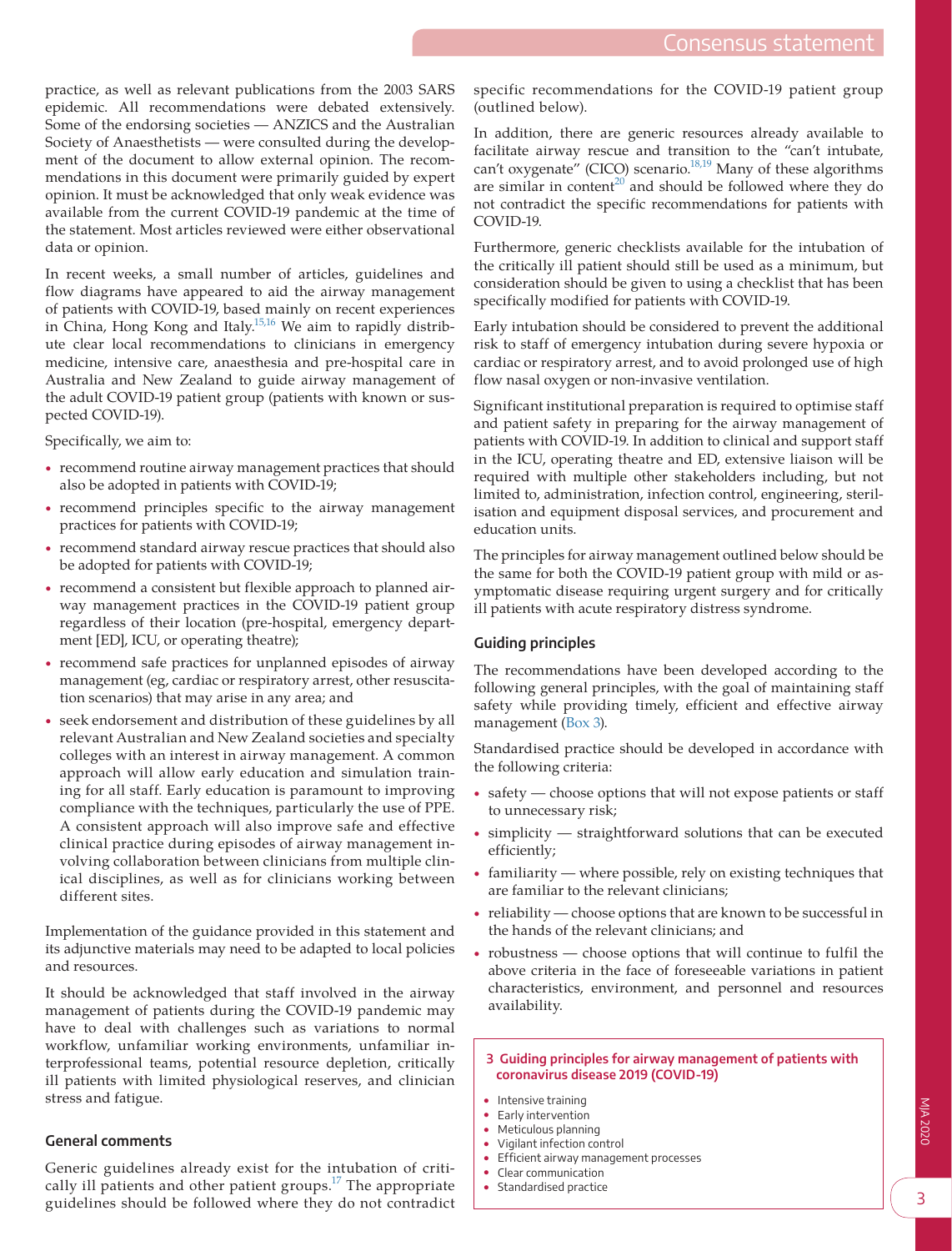practice, as well as relevant publications from the 2003 SARS epidemic. All recommendations were debated extensively. Some of the endorsing societies — ANZICS and the Australian Society of Anaesthetists — were consulted during the development of the document to allow external opinion. The recommendations in this document were primarily guided by expert opinion. It must be acknowledged that only weak evidence was available from the current COVID-19 pandemic at the time of the statement. Most articles reviewed were either observational data or opinion.

In recent weeks, a small number of articles, guidelines and flow diagrams have appeared to aid the airway management of patients with COVID-19, based mainly on recent experiences in China, Hong Kong and Italy[.15,16](#page-9-0) We aim to rapidly distribute clear local recommendations to clinicians in emergency medicine, intensive care, anaesthesia and pre-hospital care in Australia and New Zealand to guide airway management of the adult COVID-19 patient group (patients with known or suspected COVID-19).

Specifically, we aim to:

- recommend routine airway management practices that should also be adopted in patients with COVID-19;
- recommend principles specific to the airway management practices for patients with COVID-19;
- recommend standard airway rescue practices that should also be adopted for patients with COVID-19;
- recommend a consistent but flexible approach to planned airway management practices in the COVID-19 patient group regardless of their location (pre-hospital, emergency department [ED], ICU, or operating theatre);
- recommend safe practices for unplanned episodes of airway management (eg, cardiac or respiratory arrest, other resuscitation scenarios) that may arise in any area; and
- seek endorsement and distribution of these guidelines by all relevant Australian and New Zealand societies and specialty colleges with an interest in airway management. A common approach will allow early education and simulation training for all staff. Early education is paramount to improving compliance with the techniques, particularly the use of PPE. A consistent approach will also improve safe and effective clinical practice during episodes of airway management involving collaboration between clinicians from multiple clinical disciplines, as well as for clinicians working between different sites.

Implementation of the guidance provided in this statement and its adjunctive materials may need to be adapted to local policies and resources.

It should be acknowledged that staff involved in the airway management of patients during the COVID-19 pandemic may have to deal with challenges such as variations to normal workflow, unfamiliar working environments, unfamiliar interprofessional teams, potential resource depletion, critically ill patients with limited physiological reserves, and clinician stress and fatigue.

# **General comments**

Generic guidelines already exist for the intubation of critically ill patients and other patient groups.<sup>17</sup> The appropriate guidelines should be followed where they do not contradict

specific recommendations for the COVID-19 patient group (outlined below).

In addition, there are generic resources already available to facilitate airway rescue and transition to the "can't intubate, can't oxygenate" (CICO) scenario. $18,19$  Many of these algorithms are similar in content<sup>20</sup> and should be followed where they do not contradict the specific recommendations for patients with COVID-19.

Furthermore, generic checklists available for the intubation of the critically ill patient should still be used as a minimum, but consideration should be given to using a checklist that has been specifically modified for patients with COVID-19.

Early intubation should be considered to prevent the additional risk to staff of emergency intubation during severe hypoxia or cardiac or respiratory arrest, and to avoid prolonged use of high flow nasal oxygen or non-invasive ventilation.

Significant institutional preparation is required to optimise staff and patient safety in preparing for the airway management of patients with COVID-19. In addition to clinical and support staff in the ICU, operating theatre and ED, extensive liaison will be required with multiple other stakeholders including, but not limited to, administration, infection control, engineering, sterilisation and equipment disposal services, and procurement and education units.

The principles for airway management outlined below should be the same for both the COVID-19 patient group with mild or asymptomatic disease requiring urgent surgery and for critically ill patients with acute respiratory distress syndrome.

# **Guiding principles**

The recommendations have been developed according to the following general principles, with the goal of maintaining staff safety while providing timely, efficient and effective airway management [\(Box 3](#page-2-0)).

Standardised practice should be developed in accordance with the following criteria:

- safety choose options that will not expose patients or staff to unnecessary risk;
- $simplify$   $-$  straightforward solutions that can be executed efficiently;
- familiarity where possible, rely on existing techniques that are familiar to the relevant clinicians;
- reliability choose options that are known to be successful in the hands of the relevant clinicians; and
- robustness choose options that will continue to fulfil the above criteria in the face of foreseeable variations in patient characteristics, environment, and personnel and resources availability.

#### <span id="page-2-0"></span> **3 Guiding principles for airway management of patients with coronavirus disease 2019 (COVID-19)**

- Intensive training
- Early intervention
- Meticulous planning
- Vigilant infection control
- Efficient airway management processes
- Clear communication
- Standardised practice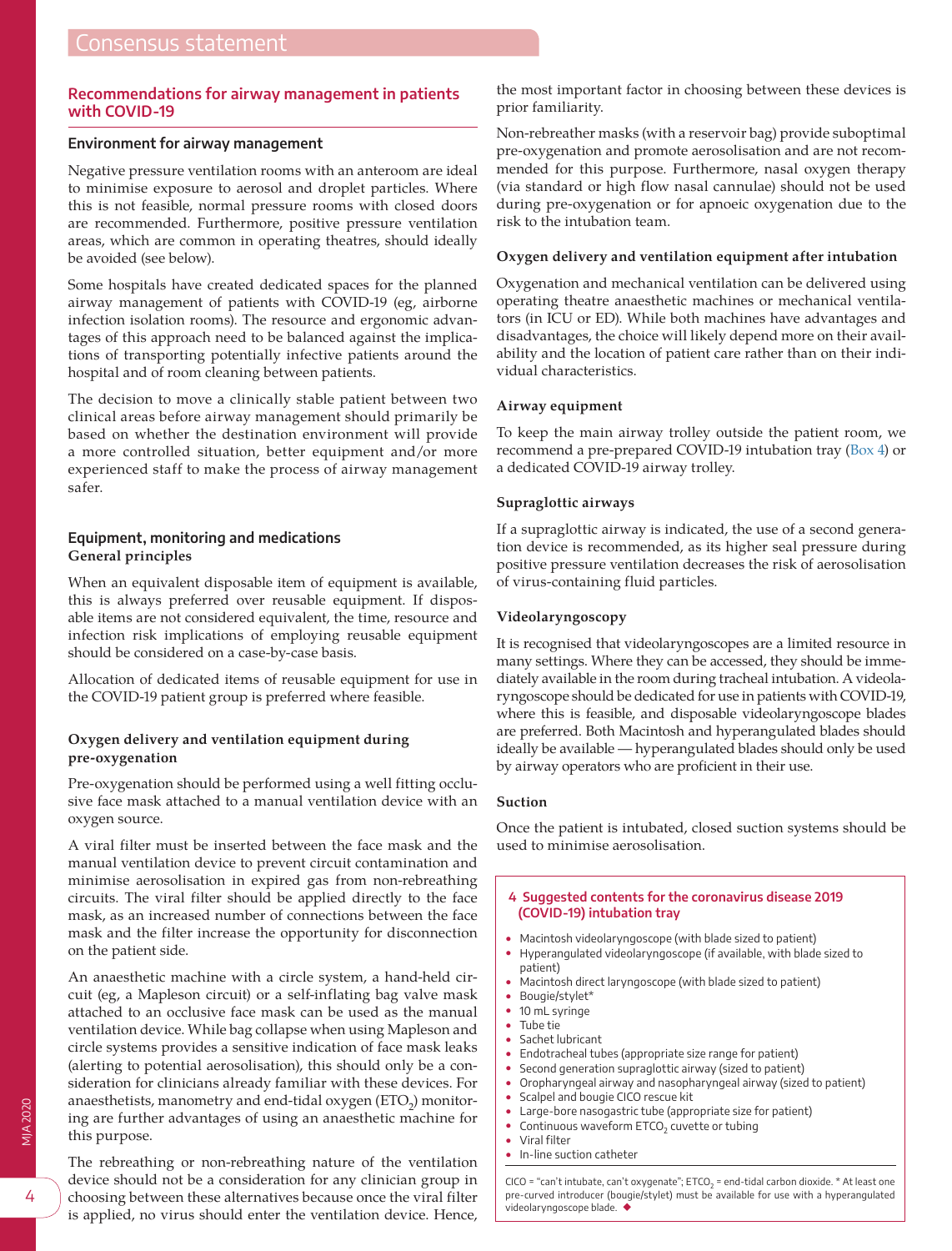# **Recommendations for airway management in patients with COVID-19**

#### **Environment for airway management**

Negative pressure ventilation rooms with an anteroom are ideal to minimise exposure to aerosol and droplet particles. Where this is not feasible, normal pressure rooms with closed doors are recommended. Furthermore, positive pressure ventilation areas, which are common in operating theatres, should ideally be avoided (see below).

Some hospitals have created dedicated spaces for the planned airway management of patients with COVID-19 (eg, airborne infection isolation rooms). The resource and ergonomic advantages of this approach need to be balanced against the implications of transporting potentially infective patients around the hospital and of room cleaning between patients.

The decision to move a clinically stable patient between two clinical areas before airway management should primarily be based on whether the destination environment will provide a more controlled situation, better equipment and/or more experienced staff to make the process of airway management safer.

# **Equipment, monitoring and medications General principles**

When an equivalent disposable item of equipment is available, this is always preferred over reusable equipment. If disposable items are not considered equivalent, the time, resource and infection risk implications of employing reusable equipment should be considered on a case-by-case basis.

Allocation of dedicated items of reusable equipment for use in the COVID-19 patient group is preferred where feasible.

# **Oxygen delivery and ventilation equipment during pre-oxygenation**

Pre-oxygenation should be performed using a well fitting occlusive face mask attached to a manual ventilation device with an oxygen source.

A viral filter must be inserted between the face mask and the manual ventilation device to prevent circuit contamination and minimise aerosolisation in expired gas from non-rebreathing circuits. The viral filter should be applied directly to the face mask, as an increased number of connections between the face mask and the filter increase the opportunity for disconnection on the patient side.

An anaesthetic machine with a circle system, a hand-held circuit (eg, a Mapleson circuit) or a self-inflating bag valve mask attached to an occlusive face mask can be used as the manual ventilation device. While bag collapse when using Mapleson and circle systems provides a sensitive indication of face mask leaks (alerting to potential aerosolisation), this should only be a consideration for clinicians already familiar with these devices. For anaesthetists, manometry and end-tidal oxygen  $\rm (ETO_{2})$  monitoring are further advantages of using an anaesthetic machine for this purpose.

The rebreathing or non-rebreathing nature of the ventilation device should not be a consideration for any clinician group in choosing between these alternatives because once the viral filter is applied, no virus should enter the ventilation device. Hence,

the most important factor in choosing between these devices is prior familiarity.

Non-rebreather masks (with a reservoir bag) provide suboptimal pre-oxygenation and promote aerosolisation and are not recommended for this purpose. Furthermore, nasal oxygen therapy (via standard or high flow nasal cannulae) should not be used during pre-oxygenation or for apnoeic oxygenation due to the risk to the intubation team.

#### **Oxygen delivery and ventilation equipment after intubation**

Oxygenation and mechanical ventilation can be delivered using operating theatre anaesthetic machines or mechanical ventilators (in ICU or ED). While both machines have advantages and disadvantages, the choice will likely depend more on their availability and the location of patient care rather than on their individual characteristics.

#### **Airway equipment**

To keep the main airway trolley outside the patient room, we recommend a pre-prepared COVID-19 intubation tray ([Box 4](#page-3-0)) or a dedicated COVID-19 airway trolley.

# **Supraglottic airways**

If a supraglottic airway is indicated, the use of a second generation device is recommended, as its higher seal pressure during positive pressure ventilation decreases the risk of aerosolisation of virus-containing fluid particles.

#### **Videolaryngoscopy**

It is recognised that videolaryngoscopes are a limited resource in many settings. Where they can be accessed, they should be immediately available in the room during tracheal intubation. A videolaryngoscope should be dedicated for use in patients with COVID-19, where this is feasible, and disposable videolaryngoscope blades are preferred. Both Macintosh and hyperangulated blades should ideally be available — hyperangulated blades should only be used by airway operators who are proficient in their use.

#### **Suction**

Once the patient is intubated, closed suction systems should be used to minimise aerosolisation.

#### <span id="page-3-0"></span> **4 Suggested contents for the coronavirus disease 2019 (COVID-19) intubation tray**

- Macintosh videolaryngoscope (with blade sized to patient)
- Hyperangulated videolaryngoscope (if available, with blade sized to patient)
- Macintosh direct laryngoscope (with blade sized to patient)
- Bougie/stylet\*
- 10 mL svringe
- Tube tie
- Sachet lubricant
- Endotracheal tubes (appropriate size range for patient)
- Second generation supraglottic airway (sized to patient)
- Oropharyngeal airway and nasopharyngeal airway (sized to patient) • Scalpel and bougie CICO rescue kit
- Large-bore nasogastric tube (appropriate size for patient)
- Continuous waveform ETCO<sub>2</sub> cuvette or tubing
- Viral filter
- In-line suction catheter

CICO = "can't intubate, can't oxygenate"; ETCO<sub>2</sub> = end-tidal carbon dioxide. \* At least one pre-curved introducer (bougie/stylet) must be available for use with a hyperangulated videolaryngoscope blade. ◆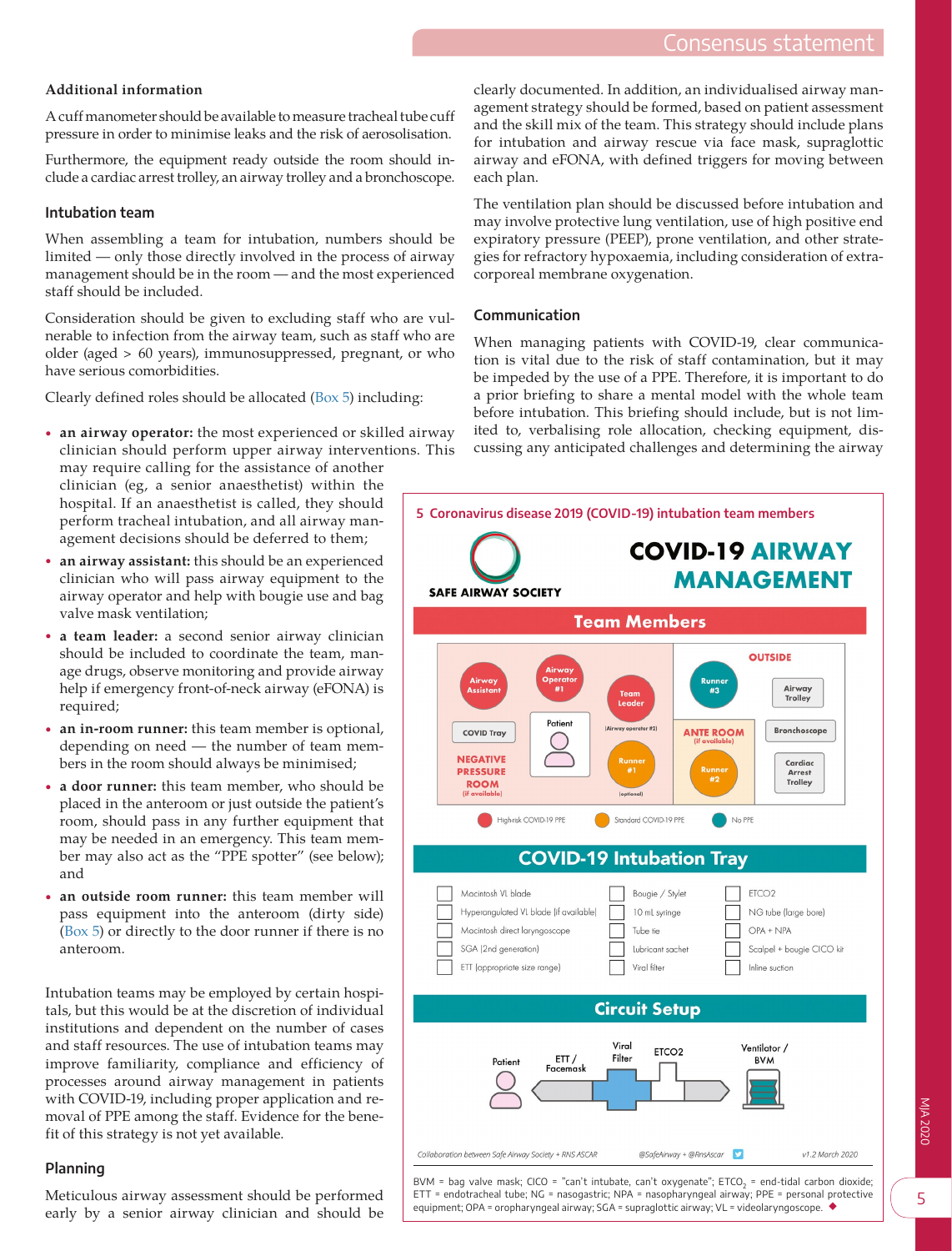# **Additional information**

A cuff manometer should be available to measure tracheal tube cuff pressure in order to minimise leaks and the risk of aerosolisation.

Furthermore, the equipment ready outside the room should include a cardiac arrest trolley, an airway trolley and a bronchoscope.

# **Intubation team**

When assembling a team for intubation, numbers should be limited — only those directly involved in the process of airway management should be in the room — and the most experienced staff should be included.

Consideration should be given to excluding staff who are vulnerable to infection from the airway team, such as staff who are older (aged > 60 years), immunosuppressed, pregnant, or who have serious comorbidities.

Clearly defined roles should be allocated [\(Box 5\)](#page-4-0) including:

• **an airway operator:** the most experienced or skilled airway clinician should perform upper airway interventions. This

may require calling for the assistance of another clinician (eg, a senior anaesthetist) within the hospital. If an anaesthetist is called, they should perform tracheal intubation, and all airway management decisions should be deferred to them;

- **an airway assistant:** this should be an experienced clinician who will pass airway equipment to the airway operator and help with bougie use and bag valve mask ventilation;
- **a team leader:** a second senior airway clinician should be included to coordinate the team, manage drugs, observe monitoring and provide airway help if emergency front-of-neck airway (eFONA) is required;
- **an in-room runner:** this team member is optional, depending on need — the number of team members in the room should always be minimised;
- **a door runner:** this team member, who should be placed in the anteroom or just outside the patient's room, should pass in any further equipment that may be needed in an emergency. This team member may also act as the "PPE spotter" (see below); and
- an outside room runner: this team member will pass equipment into the anteroom (dirty side) [\(Box 5](#page-4-0)) or directly to the door runner if there is no anteroom.

Intubation teams may be employed by certain hospitals, but this would be at the discretion of individual institutions and dependent on the number of cases and staff resources. The use of intubation teams may improve familiarity, compliance and efficiency of processes around airway management in patients with COVID-19, including proper application and removal of PPE among the staff. Evidence for the benefit of this strategy is not yet available.

# **Planning**

Meticulous airway assessment should be performed early by a senior airway clinician and should be

clearly documented. In addition, an individualised airway management strategy should be formed, based on patient assessment and the skill mix of the team. This strategy should include plans for intubation and airway rescue via face mask, supraglottic airway and eFONA, with defined triggers for moving between each plan.

The ventilation plan should be discussed before intubation and may involve protective lung ventilation, use of high positive end expiratory pressure (PEEP), prone ventilation, and other strategies for refractory hypoxaemia, including consideration of extracorporeal membrane oxygenation.

# **Communication**

When managing patients with COVID-19, clear communication is vital due to the risk of staff contamination, but it may be impeded by the use of a PPE. Therefore, it is important to do a prior briefing to share a mental model with the whole team before intubation. This briefing should include, but is not limited to, verbalising role allocation, checking equipment, discussing any anticipated challenges and determining the airway

<span id="page-4-0"></span>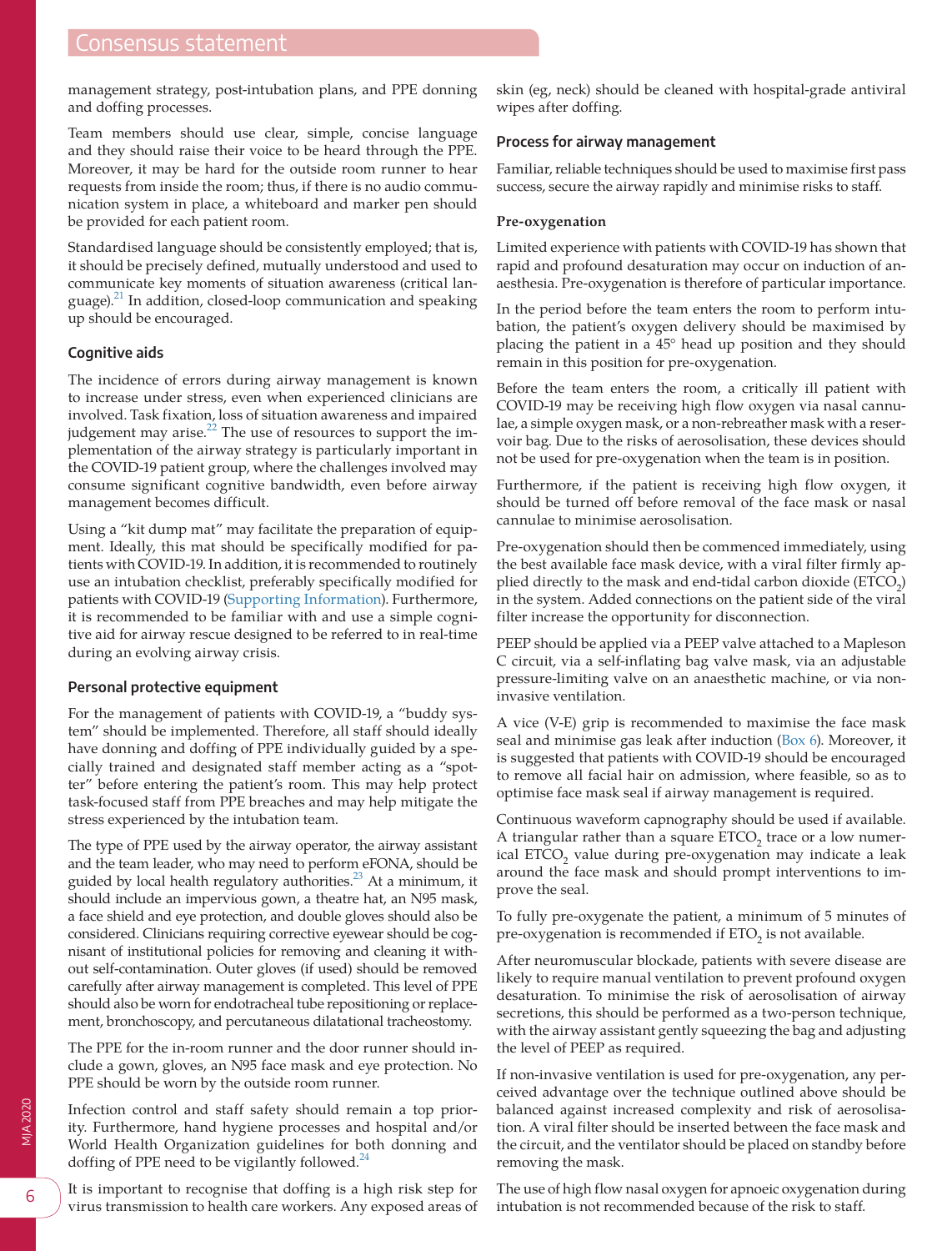management strategy, post-intubation plans, and PPE donning and doffing processes.

Team members should use clear, simple, concise language and they should raise their voice to be heard through the PPE. Moreover, it may be hard for the outside room runner to hear requests from inside the room; thus, if there is no audio communication system in place, a whiteboard and marker pen should be provided for each patient room.

Standardised language should be consistently employed; that is, it should be precisely defined, mutually understood and used to communicate key moments of situation awareness (critical language). $^{21}$  In addition, closed-loop communication and speaking up should be encouraged.

#### **Cognitive aids**

The incidence of errors during airway management is known to increase under stress, even when experienced clinicians are involved. Task fixation, loss of situation awareness and impaired judgement may arise. $^{22}$  The use of resources to support the implementation of the airway strategy is particularly important in the COVID-19 patient group, where the challenges involved may consume significant cognitive bandwidth, even before airway management becomes difficult.

Using a "kit dump mat" may facilitate the preparation of equipment. Ideally, this mat should be specifically modified for patients with COVID-19. In addition, it is recommended to routinely use an intubation checklist, preferably specifically modified for patients with COVID-19 [\(Supporting Information](#page-9-6)). Furthermore, it is recommended to be familiar with and use a simple cognitive aid for airway rescue designed to be referred to in real-time during an evolving airway crisis.

#### **Personal protective equipment**

For the management of patients with COVID-19, a "buddy system" should be implemented. Therefore, all staff should ideally have donning and doffing of PPE individually guided by a specially trained and designated staff member acting as a "spotter" before entering the patient's room. This may help protect task-focused staff from PPE breaches and may help mitigate the stress experienced by the intubation team.

The type of PPE used by the airway operator, the airway assistant and the team leader, who may need to perform eFONA, should be guided by local health regulatory authorities. $^{23}$  At a minimum, it should include an impervious gown, a theatre hat, an N95 mask, a face shield and eye protection, and double gloves should also be considered. Clinicians requiring corrective eyewear should be cognisant of institutional policies for removing and cleaning it without self-contamination. Outer gloves (if used) should be removed carefully after airway management is completed. This level of PPE should also be worn for endotracheal tube repositioning or replacement, bronchoscopy, and percutaneous dilatational tracheostomy.

The PPE for the in-room runner and the door runner should include a gown, gloves, an N95 face mask and eye protection. No PPE should be worn by the outside room runner.

Infection control and staff safety should remain a top priority. Furthermore, hand hygiene processes and hospital and/or World Health Organization guidelines for both donning and doffing of PPE need to be vigilantly followed. $^{24}$  $^{24}$  $^{24}$ 

It is important to recognise that doffing is a high risk step for virus transmission to health care workers. Any exposed areas of skin (eg, neck) should be cleaned with hospital-grade antiviral wipes after doffing.

#### **Process for airway management**

Familiar, reliable techniques should be used to maximise first pass success, secure the airway rapidly and minimise risks to staff.

#### **Pre-oxygenation**

Limited experience with patients with COVID-19 has shown that rapid and profound desaturation may occur on induction of anaesthesia. Pre-oxygenation is therefore of particular importance.

In the period before the team enters the room to perform intubation, the patient's oxygen delivery should be maximised by placing the patient in a 45° head up position and they should remain in this position for pre-oxygenation.

Before the team enters the room, a critically ill patient with COVID-19 may be receiving high flow oxygen via nasal cannulae, a simple oxygen mask, or a non-rebreather mask with a reservoir bag. Due to the risks of aerosolisation, these devices should not be used for pre-oxygenation when the team is in position.

Furthermore, if the patient is receiving high flow oxygen, it should be turned off before removal of the face mask or nasal cannulae to minimise aerosolisation.

Pre-oxygenation should then be commenced immediately, using the best available face mask device, with a viral filter firmly applied directly to the mask and end-tidal carbon dioxide  $(ETCO<sub>2</sub>)$ in the system. Added connections on the patient side of the viral filter increase the opportunity for disconnection.

PEEP should be applied via a PEEP valve attached to a Mapleson C circuit, via a self-inflating bag valve mask, via an adjustable pressure-limiting valve on an anaesthetic machine, or via noninvasive ventilation.

A vice (V-E) grip is recommended to maximise the face mask seal and minimise gas leak after induction [\(Box 6\)](#page-6-0). Moreover, it is suggested that patients with COVID-19 should be encouraged to remove all facial hair on admission, where feasible, so as to optimise face mask seal if airway management is required.

Continuous waveform capnography should be used if available. A triangular rather than a square  $ETCO<sub>2</sub>$  trace or a low numerical ETCO<sub>2</sub> value during pre-oxygenation may indicate a leak around the face mask and should prompt interventions to improve the seal.

To fully pre-oxygenate the patient, a minimum of 5 minutes of pre-oxygenation is recommended if ETO<sub>2</sub> is not available.

After neuromuscular blockade, patients with severe disease are likely to require manual ventilation to prevent profound oxygen desaturation. To minimise the risk of aerosolisation of airway secretions, this should be performed as a two-person technique, with the airway assistant gently squeezing the bag and adjusting the level of PEEP as required.

If non-invasive ventilation is used for pre-oxygenation, any perceived advantage over the technique outlined above should be balanced against increased complexity and risk of aerosolisation. A viral filter should be inserted between the face mask and the circuit, and the ventilator should be placed on standby before removing the mask.

The use of high flow nasal oxygen for apnoeic oxygenation during intubation is not recommended because of the risk to staff.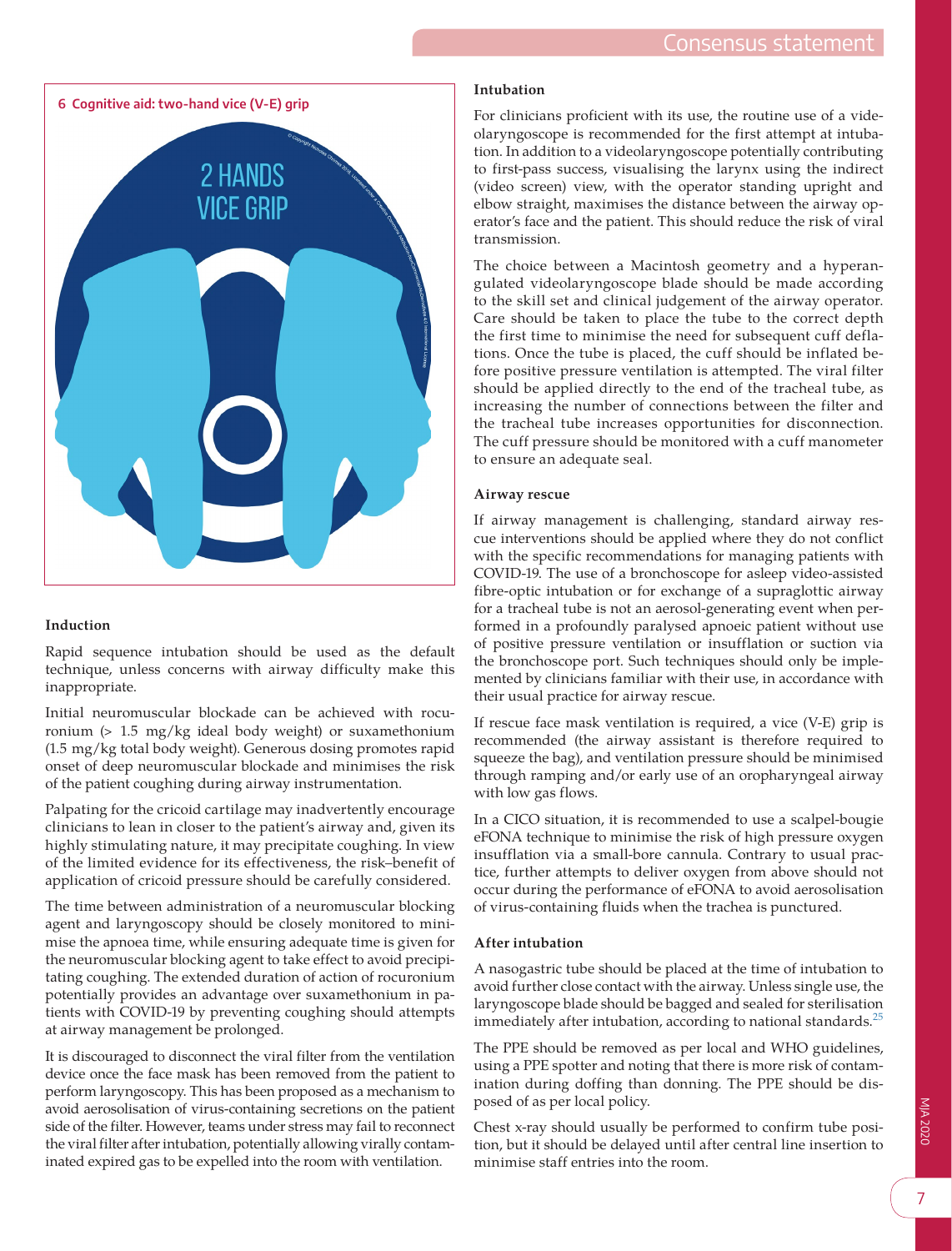<span id="page-6-0"></span>

# **Induction**

Rapid sequence intubation should be used as the default technique, unless concerns with airway difficulty make this inappropriate.

Initial neuromuscular blockade can be achieved with rocuronium (> 1.5 mg/kg ideal body weight) or suxamethonium (1.5 mg/kg total body weight). Generous dosing promotes rapid onset of deep neuromuscular blockade and minimises the risk of the patient coughing during airway instrumentation.

Palpating for the cricoid cartilage may inadvertently encourage clinicians to lean in closer to the patient's airway and, given its highly stimulating nature, it may precipitate coughing. In view of the limited evidence for its effectiveness, the risk–benefit of application of cricoid pressure should be carefully considered.

The time between administration of a neuromuscular blocking agent and laryngoscopy should be closely monitored to minimise the apnoea time, while ensuring adequate time is given for the neuromuscular blocking agent to take effect to avoid precipitating coughing. The extended duration of action of rocuronium potentially provides an advantage over suxamethonium in patients with COVID-19 by preventing coughing should attempts at airway management be prolonged.

It is discouraged to disconnect the viral filter from the ventilation device once the face mask has been removed from the patient to perform laryngoscopy. This has been proposed as a mechanism to avoid aerosolisation of virus-containing secretions on the patient side of the filter. However, teams under stress may fail to reconnect the viral filter after intubation, potentially allowing virally contaminated expired gas to be expelled into the room with ventilation.

# **Intubation**

For clinicians proficient with its use, the routine use of a videolaryngoscope is recommended for the first attempt at intubation. In addition to a videolaryngoscope potentially contributing to first-pass success, visualising the larynx using the indirect (video screen) view, with the operator standing upright and elbow straight, maximises the distance between the airway operator's face and the patient. This should reduce the risk of viral transmission.

The choice between a Macintosh geometry and a hyperangulated videolaryngoscope blade should be made according to the skill set and clinical judgement of the airway operator. Care should be taken to place the tube to the correct depth the first time to minimise the need for subsequent cuff deflations. Once the tube is placed, the cuff should be inflated before positive pressure ventilation is attempted. The viral filter should be applied directly to the end of the tracheal tube, as increasing the number of connections between the filter and the tracheal tube increases opportunities for disconnection. The cuff pressure should be monitored with a cuff manometer to ensure an adequate seal.

#### **Airway rescue**

If airway management is challenging, standard airway rescue interventions should be applied where they do not conflict with the specific recommendations for managing patients with COVID-19. The use of a bronchoscope for asleep video-assisted fibre-optic intubation or for exchange of a supraglottic airway for a tracheal tube is not an aerosol-generating event when performed in a profoundly paralysed apnoeic patient without use of positive pressure ventilation or insufflation or suction via the bronchoscope port. Such techniques should only be implemented by clinicians familiar with their use, in accordance with their usual practice for airway rescue.

If rescue face mask ventilation is required, a vice (V-E) grip is recommended (the airway assistant is therefore required to squeeze the bag), and ventilation pressure should be minimised through ramping and/or early use of an oropharyngeal airway with low gas flows.

In a CICO situation, it is recommended to use a scalpel-bougie eFONA technique to minimise the risk of high pressure oxygen insufflation via a small-bore cannula. Contrary to usual practice, further attempts to deliver oxygen from above should not occur during the performance of eFONA to avoid aerosolisation of virus-containing fluids when the trachea is punctured.

#### **After intubation**

A nasogastric tube should be placed at the time of intubation to avoid further close contact with the airway. Unless single use, the laryngoscope blade should be bagged and sealed for sterilisation immediately after intubation, according to national standards. $^{25}$  $^{25}$  $^{25}$ 

The PPE should be removed as per local and WHO guidelines, using a PPE spotter and noting that there is more risk of contamination during doffing than donning. The PPE should be disposed of as per local policy.

Chest x-ray should usually be performed to confirm tube position, but it should be delayed until after central line insertion to minimise staff entries into the room.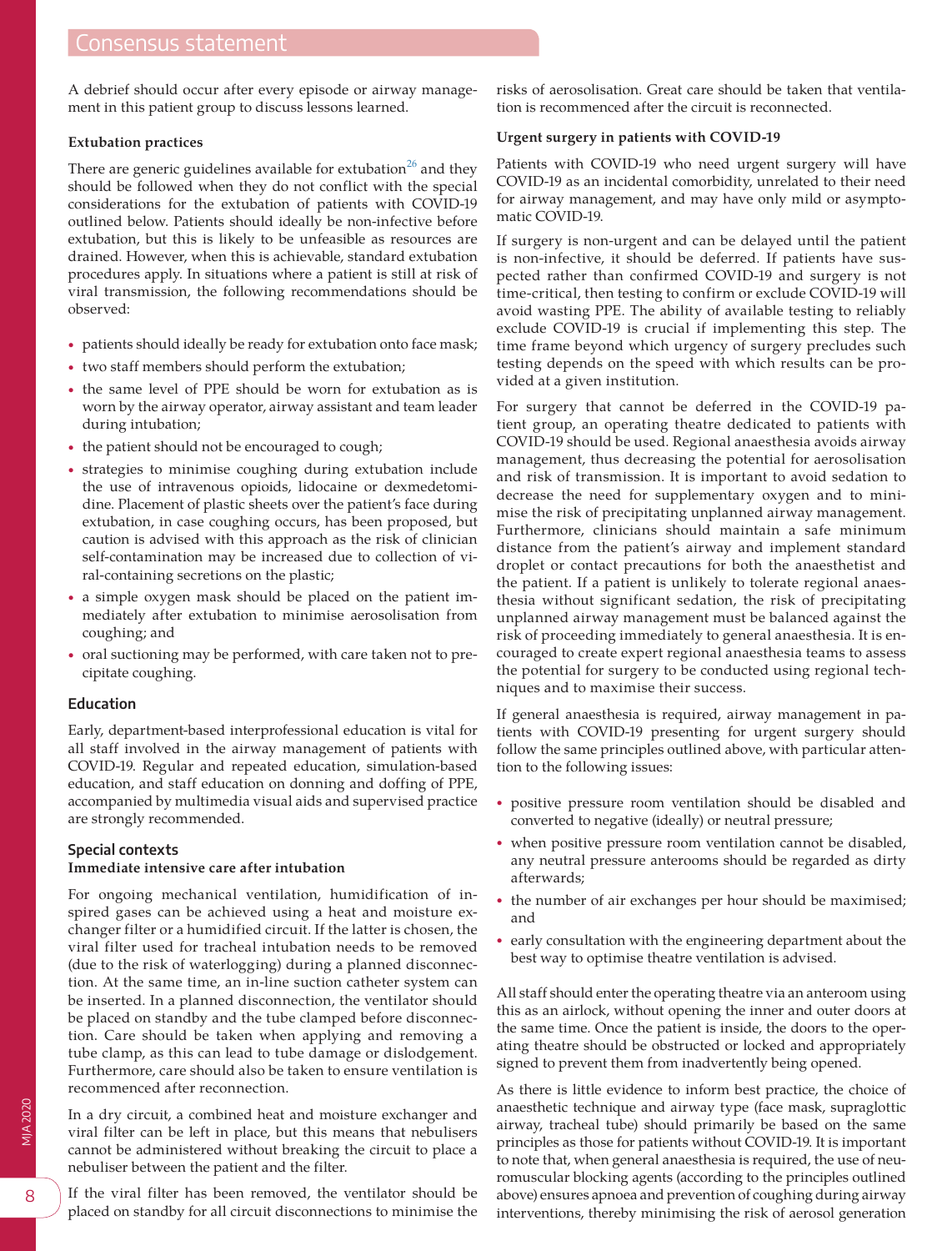A debrief should occur after every episode or airway management in this patient group to discuss lessons learned.

#### **Extubation practices**

There are generic guidelines available for extubation<sup>26</sup> and they should be followed when they do not conflict with the special considerations for the extubation of patients with COVID-19 outlined below. Patients should ideally be non-infective before extubation, but this is likely to be unfeasible as resources are drained. However, when this is achievable, standard extubation procedures apply. In situations where a patient is still at risk of viral transmission, the following recommendations should be observed:

- patients should ideally be ready for extubation onto face mask;
- two staff members should perform the extubation;
- the same level of PPE should be worn for extubation as is worn by the airway operator, airway assistant and team leader during intubation;
- the patient should not be encouraged to cough;
- strategies to minimise coughing during extubation include the use of intravenous opioids, lidocaine or dexmedetomidine. Placement of plastic sheets over the patient's face during extubation, in case coughing occurs, has been proposed, but caution is advised with this approach as the risk of clinician self-contamination may be increased due to collection of viral-containing secretions on the plastic;
- a simple oxygen mask should be placed on the patient immediately after extubation to minimise aerosolisation from coughing; and
- oral suctioning may be performed, with care taken not to precipitate coughing.

#### **Education**

Early, department-based interprofessional education is vital for all staff involved in the airway management of patients with COVID-19. Regular and repeated education, simulation-based education, and staff education on donning and doffing of PPE, accompanied by multimedia visual aids and supervised practice are strongly recommended.

#### **Special contexts**

#### **Immediate intensive care after intubation**

For ongoing mechanical ventilation, humidification of inspired gases can be achieved using a heat and moisture exchanger filter or a humidified circuit. If the latter is chosen, the viral filter used for tracheal intubation needs to be removed (due to the risk of waterlogging) during a planned disconnection. At the same time, an in-line suction catheter system can be inserted. In a planned disconnection, the ventilator should be placed on standby and the tube clamped before disconnection. Care should be taken when applying and removing a tube clamp, as this can lead to tube damage or dislodgement. Furthermore, care should also be taken to ensure ventilation is recommenced after reconnection.

In a dry circuit, a combined heat and moisture exchanger and viral filter can be left in place, but this means that nebulisers cannot be administered without breaking the circuit to place a nebuliser between the patient and the filter.

If the viral filter has been removed, the ventilator should be placed on standby for all circuit disconnections to minimise the

risks of aerosolisation. Great care should be taken that ventilation is recommenced after the circuit is reconnected.

#### **Urgent surgery in patients with COVID-19**

Patients with COVID-19 who need urgent surgery will have COVID-19 as an incidental comorbidity, unrelated to their need for airway management, and may have only mild or asymptomatic COVID-19.

If surgery is non-urgent and can be delayed until the patient is non-infective, it should be deferred. If patients have suspected rather than confirmed COVID-19 and surgery is not time-critical, then testing to confirm or exclude COVID-19 will avoid wasting PPE. The ability of available testing to reliably exclude COVID-19 is crucial if implementing this step. The time frame beyond which urgency of surgery precludes such testing depends on the speed with which results can be provided at a given institution.

For surgery that cannot be deferred in the COVID-19 patient group, an operating theatre dedicated to patients with COVID-19 should be used. Regional anaesthesia avoids airway management, thus decreasing the potential for aerosolisation and risk of transmission. It is important to avoid sedation to decrease the need for supplementary oxygen and to minimise the risk of precipitating unplanned airway management. Furthermore, clinicians should maintain a safe minimum distance from the patient's airway and implement standard droplet or contact precautions for both the anaesthetist and the patient. If a patient is unlikely to tolerate regional anaesthesia without significant sedation, the risk of precipitating unplanned airway management must be balanced against the risk of proceeding immediately to general anaesthesia. It is encouraged to create expert regional anaesthesia teams to assess the potential for surgery to be conducted using regional techniques and to maximise their success.

If general anaesthesia is required, airway management in patients with COVID-19 presenting for urgent surgery should follow the same principles outlined above, with particular attention to the following issues:

- positive pressure room ventilation should be disabled and converted to negative (ideally) or neutral pressure;
- when positive pressure room ventilation cannot be disabled, any neutral pressure anterooms should be regarded as dirty afterwards;
- the number of air exchanges per hour should be maximised; and
- early consultation with the engineering department about the best way to optimise theatre ventilation is advised.

All staff should enter the operating theatre via an anteroom using this as an airlock, without opening the inner and outer doors at the same time. Once the patient is inside, the doors to the operating theatre should be obstructed or locked and appropriately signed to prevent them from inadvertently being opened.

As there is little evidence to inform best practice, the choice of anaesthetic technique and airway type (face mask, supraglottic airway, tracheal tube) should primarily be based on the same principles as those for patients without COVID-19. It is important to note that, when general anaesthesia is required, the use of neuromuscular blocking agents (according to the principles outlined above) ensures apnoea and prevention of coughing during airway interventions, thereby minimising the risk of aerosol generation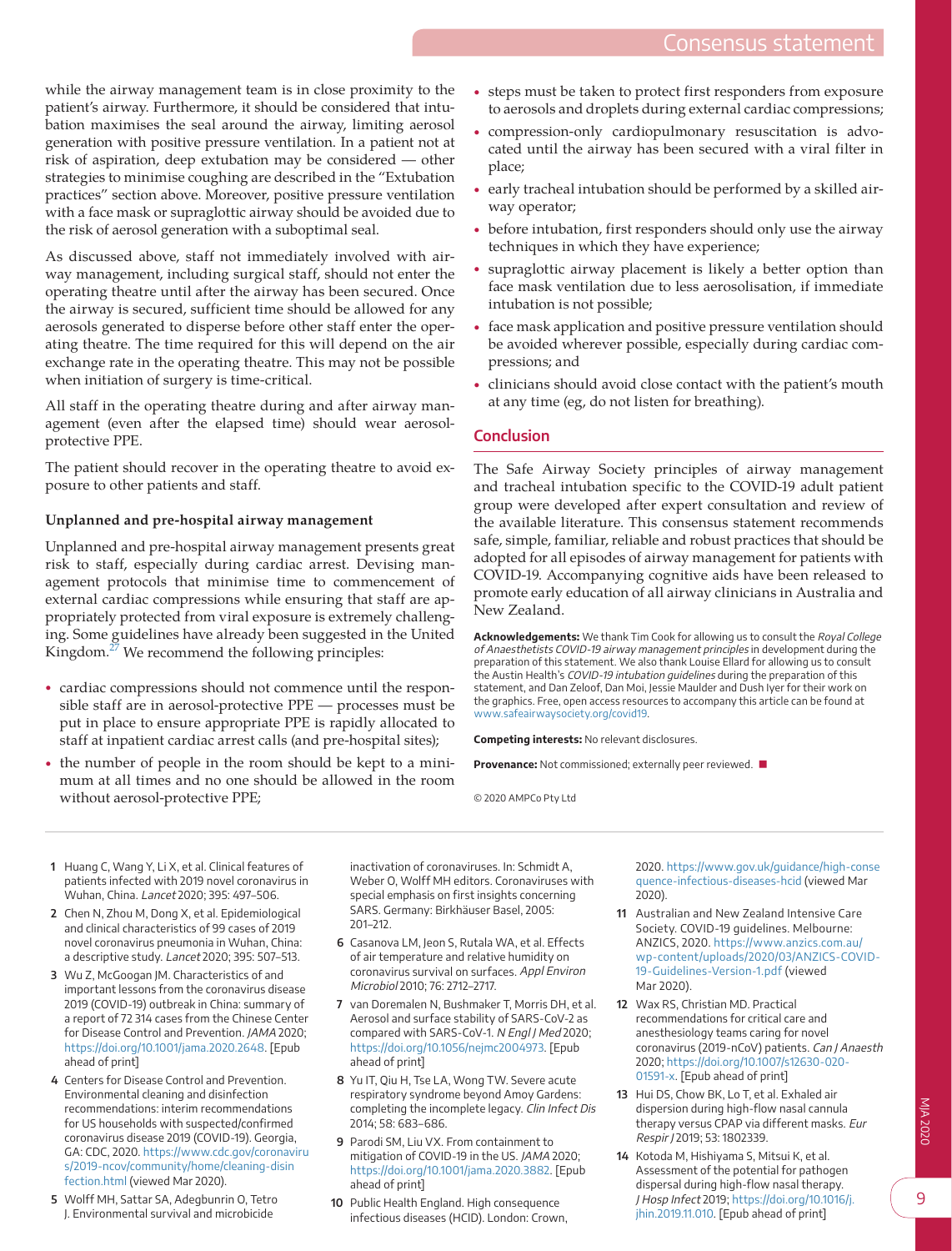while the airway management team is in close proximity to the patient's airway. Furthermore, it should be considered that intubation maximises the seal around the airway, limiting aerosol generation with positive pressure ventilation. In a patient not at risk of aspiration, deep extubation may be considered — other strategies to minimise coughing are described in the "Extubation practices" section above. Moreover, positive pressure ventilation with a face mask or supraglottic airway should be avoided due to the risk of aerosol generation with a suboptimal seal.

As discussed above, staff not immediately involved with airway management, including surgical staff, should not enter the operating theatre until after the airway has been secured. Once the airway is secured, sufficient time should be allowed for any aerosols generated to disperse before other staff enter the operating theatre. The time required for this will depend on the air exchange rate in the operating theatre. This may not be possible when initiation of surgery is time-critical.

All staff in the operating theatre during and after airway management (even after the elapsed time) should wear aerosolprotective PPE.

The patient should recover in the operating theatre to avoid exposure to other patients and staff.

# **Unplanned and pre-hospital airway management**

Unplanned and pre-hospital airway management presents great risk to staff, especially during cardiac arrest. Devising management protocols that minimise time to commencement of external cardiac compressions while ensuring that staff are appropriately protected from viral exposure is extremely challenging. Some guidelines have already been suggested in the United Kingdom.<sup>27</sup> We recommend the following principles:

- cardiac compressions should not commence until the responsible staff are in aerosol-protective PPE — processes must be put in place to ensure appropriate PPE is rapidly allocated to staff at inpatient cardiac arrest calls (and pre-hospital sites);
- the number of people in the room should be kept to a minimum at all times and no one should be allowed in the room without aerosol-protective PPE;
- steps must be taken to protect first responders from exposure to aerosols and droplets during external cardiac compressions;
- compression-only cardiopulmonary resuscitation is advocated until the airway has been secured with a viral filter in place;
- early tracheal intubation should be performed by a skilled airway operator;
- before intubation, first responders should only use the airway techniques in which they have experience;
- supraglottic airway placement is likely a better option than face mask ventilation due to less aerosolisation, if immediate intubation is not possible;
- face mask application and positive pressure ventilation should be avoided wherever possible, especially during cardiac compressions; and
- clinicians should avoid close contact with the patient's mouth at any time (eg, do not listen for breathing).

# **Conclusion**

The Safe Airway Society principles of airway management and tracheal intubation specific to the COVID-19 adult patient group were developed after expert consultation and review of the available literature. This consensus statement recommends safe, simple, familiar, reliable and robust practices that should be adopted for all episodes of airway management for patients with COVID-19. Accompanying cognitive aids have been released to promote early education of all airway clinicians in Australia and New Zealand.

**Acknowledgements:** We thank Tim Cook for allowing us to consult the Royal College of Anaesthetists COVID-19 airway management principles in development during the preparation of this statement. We also thank Louise Ellard for allowing us to consult the Austin Health's COVID-19 intubation guidelines during the preparation of this statement, and Dan Zeloof, Dan Moi, Jessie Maulder and Dush Iyer for their work on the graphics. Free, open access resources to accompany this article can be found at [www.safeairwaysociety.org/covid19.](http://www.safeairwaysociety.org/covid19)

**Competing interests:** No relevant disclosures.

**Provenance:** Not commissioned; externally peer reviewed. ■

© 2020 AMPCo Pty Ltd

- <span id="page-8-0"></span> **1** Huang C, Wang Y, Li X, et al. Clinical features of patients infected with 2019 novel coronavirus in Wuhan, China. Lancet 2020; 395: 497–506.
- <span id="page-8-1"></span> **2** Chen N, Zhou M, Dong X, et al. Epidemiological and clinical characteristics of 99 cases of 2019 novel coronavirus pneumonia in Wuhan, China: a descriptive study. Lancet 2020; 395: 507–513.
- **3** Wu Z, McGoogan JM. Characteristics of and important lessons from the coronavirus disease 2019 (COVID-19) outbreak in China: summary of a report of 72 314 cases from the Chinese Center for Disease Control and Prevention. JAMA 2020; [https://doi.org/10.1001/jama.2020.2648.](https://doi.org/10.1001/jama.2020.2648) [Epub ahead of print]
- <span id="page-8-2"></span> **4** Centers for Disease Control and Prevention. Environmental cleaning and disinfection recommendations: interim recommendations for US households with suspected/confirmed coronavirus disease 2019 (COVID-19). Georgia, GA: CDC, 2020. [https://www.cdc.gov/coronaviru](https://www.cdc.gov/coronavirus/2019-ncov/community/home/cleaning-disinfection.html) [s/2019-ncov/community/home/cleaning-disin](https://www.cdc.gov/coronavirus/2019-ncov/community/home/cleaning-disinfection.html) [fection.html](https://www.cdc.gov/coronavirus/2019-ncov/community/home/cleaning-disinfection.html) (viewed Mar 2020).
- <span id="page-8-3"></span> **5** Wolff MH, Sattar SA, Adegbunrin O, Tetro J. Environmental survival and microbicide

inactivation of coronaviruses. In: Schmidt A, Weber O, Wolff MH editors. Coronaviruses with special emphasis on first insights concerning SARS. Germany: Birkhäuser Basel, 2005: 201–212.

- **6** Casanova LM, Jeon S, Rutala WA, et al. Effects of air temperature and relative humidity on coronavirus survival on surfaces. Appl Environ Microbiol 2010; 76: 2712–2717.
- **7** van Doremalen N, Bushmaker T, Morris DH, et al. Aerosol and surface stability of SARS-CoV-2 as compared with SARS-CoV-1. N Engl J Med 2020; <https://doi.org/10.1056/nejmc2004973>. [Epub ahead of print]
- **8** Yu IT, Qiu H, Tse LA, Wong TW. Severe acute respiratory syndrome beyond Amoy Gardens: completing the incomplete legacy. Clin Infect Dis 2014; 58: 683–686.
- <span id="page-8-4"></span> **9** Parodi SM, Liu VX. From containment to mitigation of COVID-19 in the US. JAMA 2020; <https://doi.org/10.1001/jama.2020.3882>. [Epub ahead of print]
- <span id="page-8-5"></span>**10** Public Health England. High consequence infectious diseases (HCID). London: Crown,

2020. [https://www.gov.uk/guidance/high-conse](https://www.gov.uk/guidance/high-consequence-infectious-diseases-hcid) [quence-infectious-diseases-hcid](https://www.gov.uk/guidance/high-consequence-infectious-diseases-hcid) (viewed Mar 2020).

- <span id="page-8-6"></span>**11** Australian and New Zealand Intensive Care Society. COVID-19 guidelines. Melbourne: ANZICS, 2020. [https://www.anzics.com.au/](https://www.anzics.com.au/wp-content/uploads/2020/03/ANZICS-COVID-19-Guidelines-Version-1.pdf) [wp-content/uploads/2020/03/ANZICS-COVID-](https://www.anzics.com.au/wp-content/uploads/2020/03/ANZICS-COVID-19-Guidelines-Version-1.pdf)[19-Guidelines-Version-1.pdf](https://www.anzics.com.au/wp-content/uploads/2020/03/ANZICS-COVID-19-Guidelines-Version-1.pdf) (viewed Mar 2020).
- <span id="page-8-7"></span>**12** Wax RS, Christian MD. Practical recommendations for critical care and anesthesiology teams caring for novel coronavirus (2019-nCoV) patients. Can J Anaesth 2020; [https://doi.org/10.1007/s12630-020-](https://doi.org/10.1007/s12630-020-01591-x) [01591-x](https://doi.org/10.1007/s12630-020-01591-x). [Epub ahead of print]
- <span id="page-8-8"></span>**13** Hui DS, Chow BK, Lo T, et al. Exhaled air dispersion during high-flow nasal cannula therapy versus CPAP via different masks. Eur Respir J 2019; 53: 1802339.
- **14** Kotoda M, Hishiyama S, Mitsui K, et al. Assessment of the potential for pathogen dispersal during high-flow nasal therapy. J Hosp Infect 2019; [https://doi.org/10.1016/j.](https://doi.org/10.1016/j.jhin.2019.11.010) [jhin.2019.11.010](https://doi.org/10.1016/j.jhin.2019.11.010). [Epub ahead of print]